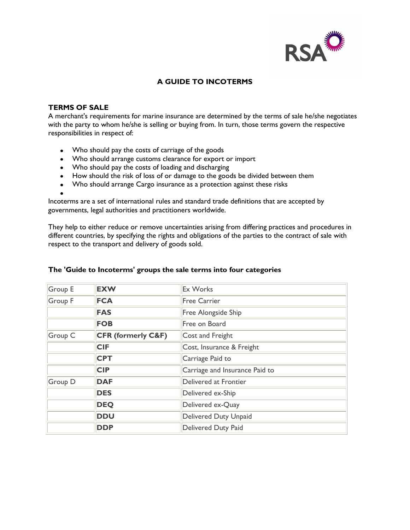

## **A GUIDE TO INCOTERMS**

### **TERMS OF SALE**

A merchant's requirements for marine insurance are determined by the terms of sale he/she negotiates with the party to whom he/she is selling or buying from. In turn, those terms govern the respective responsibilities in respect of:

- Who should pay the costs of carriage of the goods
- Who should arrange customs clearance for export or import
- Who should pay the costs of loading and discharging
- How should the risk of loss of or damage to the goods be divided between them
- Who should arrange Cargo insurance as a protection against these risks

Incoterms are a set of international rules and standard trade definitions that are accepted by governments, legal authorities and practitioners worldwide.

They help to either reduce or remove uncertainties arising from differing practices and procedures in different countries, by specifying the rights and obligations of the parties to the contract of sale with respect to the transport and delivery of goods sold.

| Group E        | <b>EXW</b>                    | <b>Ex Works</b>                |  |
|----------------|-------------------------------|--------------------------------|--|
| Group F        | <b>FCA</b>                    | <b>Free Carrier</b>            |  |
|                | <b>FAS</b>                    | Free Alongside Ship            |  |
|                | <b>FOB</b>                    | Free on Board                  |  |
| Group C        | <b>CFR (formerly C&amp;F)</b> | Cost and Freight               |  |
|                | <b>CIF</b>                    | Cost, Insurance & Freight      |  |
|                | <b>CPT</b>                    | Carriage Paid to               |  |
|                | <b>CIP</b>                    | Carriage and Insurance Paid to |  |
| <b>Group D</b> | <b>DAF</b>                    | Delivered at Frontier          |  |
|                | <b>DES</b>                    | Delivered ex-Ship              |  |
|                | <b>DEQ</b>                    | Delivered ex-Quay              |  |
|                | <b>DDU</b>                    | Delivered Duty Unpaid          |  |
|                | <b>DDP</b>                    | <b>Delivered Duty Paid</b>     |  |

#### **The 'Guide to Incoterms' groups the sale terms into four categories**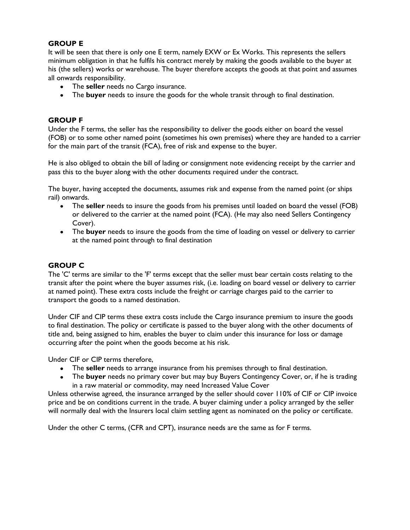## **GROUP E**

It will be seen that there is only one E term, namely EXW or Ex Works. This represents the sellers minimum obligation in that he fulfils his contract merely by making the goods available to the buyer at his (the sellers) works or warehouse. The buyer therefore accepts the goods at that point and assumes all onwards responsibility.

- The **seller** needs no Cargo insurance.
- The **buyer** needs to insure the goods for the whole transit through to final destination.

### **GROUP F**

Under the F terms, the seller has the responsibility to deliver the goods either on board the vessel (FOB) or to some other named point (sometimes his own premises) where they are handed to a carrier for the main part of the transit (FCA), free of risk and expense to the buyer.

He is also obliged to obtain the bill of lading or consignment note evidencing receipt by the carrier and pass this to the buyer along with the other documents required under the contract.

The buyer, having accepted the documents, assumes risk and expense from the named point (or ships rail) onwards.

- The **seller** needs to insure the goods from his premises until loaded on board the vessel (FOB) or delivered to the carrier at the named point (FCA). (He may also need Sellers Contingency Cover).
- The **buyer** needs to insure the goods from the time of loading on vessel or delivery to carrier at the named point through to final destination

## **GROUP C**

The 'C' terms are similar to the 'F' terms except that the seller must bear certain costs relating to the transit after the point where the buyer assumes risk, (i.e. loading on board vessel or delivery to carrier at named point). These extra costs include the freight or carriage charges paid to the carrier to transport the goods to a named destination.

Under CIF and CIP terms these extra costs include the Cargo insurance premium to insure the goods to final destination. The policy or certificate is passed to the buyer along with the other documents of title and, being assigned to him, enables the buyer to claim under this insurance for loss or damage occurring after the point when the goods become at his risk.

Under CIF or CIP terms therefore,

- The **seller** needs to arrange insurance from his premises through to final destination.  $\bullet$
- The **buyer** needs no primary cover but may buy Buyers Contingency Cover, or, if he is trading in a raw material or commodity, may need Increased Value Cover

Unless otherwise agreed, the insurance arranged by the seller should cover 110% of CIF or CIP invoice price and be on conditions current in the trade. A buyer claiming under a policy arranged by the seller will normally deal with the Insurers local claim settling agent as nominated on the policy or certificate.

Under the other C terms, (CFR and CPT), insurance needs are the same as for F terms.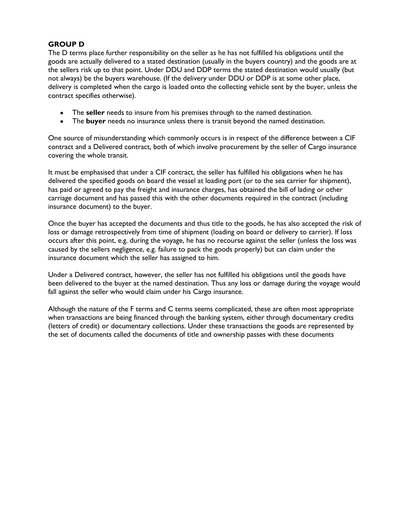# **GROUP D**

The D terms place further responsibility on the seller as he has not fulfilled his obligations until the goods are actually delivered to a stated destination (usually in the buyers country) and the goods are at the sellers risk up to that point. Under DDU and DDP terms the stated destination would usually (but not always) be the buyers warehouse. (If the delivery under DDU or DDP is at some other place, delivery is completed when the cargo is loaded onto the collecting vehicle sent by the buyer, unless the contract specifies otherwise).

- The **seller** needs to insure from his premises through to the named destination.
- The **buyer** needs no insurance unless there is transit beyond the named destination.

One source of misunderstanding which commonly occurs is in respect of the difference between a CIF contract and a Delivered contract, both of which involve procurement by the seller of Cargo insurance covering the whole transit.

It must be emphasised that under a CIF contract, the seller has fulfilled his obligations when he has delivered the specified goods on board the vessel at loading port (or to the sea carrier for shipment), has paid or agreed to pay the freight and insurance charges, has obtained the bill of lading or other carriage document and has passed this with the other documents required in the contract (including insurance document) to the buyer.

Once the buyer has accepted the documents and thus title to the goods, he has also accepted the risk of loss or damage retrospectively from time of shipment (loading on board or delivery to carrier). If loss occurs after this point, e.g. during the voyage, he has no recourse against the seller (unless the loss was caused by the sellers negligence, e.g. failure to pack the goods properly) but can claim under the insurance document which the seller has assigned to him.

Under a Delivered contract, however, the seller has not fulfilled his obligations until the goods have been delivered to the buyer at the named destination. Thus any loss or damage during the voyage would fall against the seller who would claim under his Cargo insurance.

Although the nature of the F terms and C terms seems complicated, these are often most appropriate when transactions are being financed through the banking system, either through documentary credits (letters of credit) or documentary collections. Under these transactions the goods are represented by the set of documents called the documents of title and ownership passes with these documents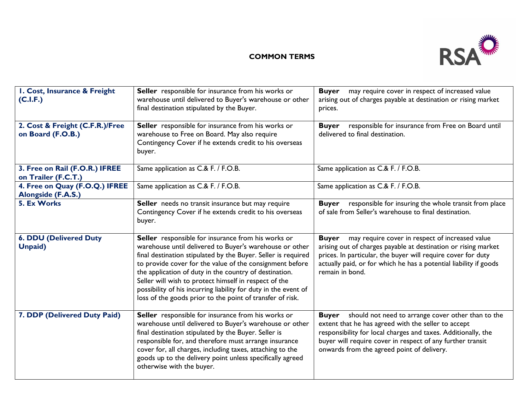

# **COMMON TERMS**

| I. Cost, Insurance & Freight<br>(C.I.F.)                    | Seller responsible for insurance from his works or<br>warehouse until delivered to Buyer's warehouse or other<br>final destination stipulated by the Buyer.                                                                                                                                                                                                                                                                                                                                   | may require cover in respect of increased value<br><b>Buyer</b><br>arising out of charges payable at destination or rising market<br>prices.                                                                                                                                                           |
|-------------------------------------------------------------|-----------------------------------------------------------------------------------------------------------------------------------------------------------------------------------------------------------------------------------------------------------------------------------------------------------------------------------------------------------------------------------------------------------------------------------------------------------------------------------------------|--------------------------------------------------------------------------------------------------------------------------------------------------------------------------------------------------------------------------------------------------------------------------------------------------------|
| 2. Cost & Freight (C.F.R.)/Free<br>on Board (F.O.B.)        | Seller responsible for insurance from his works or<br>warehouse to Free on Board. May also require<br>Contingency Cover if he extends credit to his overseas<br>buyer.                                                                                                                                                                                                                                                                                                                        | responsible for insurance from Free on Board until<br><b>Buyer</b><br>delivered to final destination.                                                                                                                                                                                                  |
| 3. Free on Rail (F.O.R.) IFREE<br>on Trailer (F.C.T.)       | Same application as C.& F. / F.O.B.                                                                                                                                                                                                                                                                                                                                                                                                                                                           | Same application as C.& F. / F.O.B.                                                                                                                                                                                                                                                                    |
| 4. Free on Quay (F.O.Q.) IFREE<br><b>Alongside (F.A.S.)</b> | Same application as C.& F. / F.O.B.                                                                                                                                                                                                                                                                                                                                                                                                                                                           | Same application as C.& F. / F.O.B.                                                                                                                                                                                                                                                                    |
| 5. Ex Works                                                 | Seller needs no transit insurance but may require<br>Contingency Cover if he extends credit to his overseas<br>buyer.                                                                                                                                                                                                                                                                                                                                                                         | responsible for insuring the whole transit from place<br><b>Buyer</b><br>of sale from Seller's warehouse to final destination.                                                                                                                                                                         |
| <b>6. DDU (Delivered Duty</b><br><b>Unpaid</b> )            | Seller responsible for insurance from his works or<br>warehouse until delivered to Buyer's warehouse or other<br>final destination stipulated by the Buyer. Seller is required<br>to provide cover for the value of the consignment before<br>the application of duty in the country of destination.<br>Seller will wish to protect himself in respect of the<br>possibility of his incurring liability for duty in the event of<br>loss of the goods prior to the point of transfer of risk. | may require cover in respect of increased value<br><b>Buyer</b><br>arising out of charges payable at destination or rising market<br>prices. In particular, the buyer will require cover for duty<br>actually paid, or for which he has a potential liability if goods<br>remain in bond.              |
| 7. DDP (Delivered Duty Paid)                                | Seller responsible for insurance from his works or<br>warehouse until delivered to Buyer's warehouse or other<br>final destination stipulated by the Buyer. Seller is<br>responsible for, and therefore must arrange insurance<br>cover for, all charges, including taxes, attaching to the<br>goods up to the delivery point unless specifically agreed<br>otherwise with the buyer.                                                                                                         | should not need to arrange cover other than to the<br><b>Buyer</b><br>extent that he has agreed with the seller to accept<br>responsibility for local charges and taxes. Additionally, the<br>buyer will require cover in respect of any further transit<br>onwards from the agreed point of delivery. |